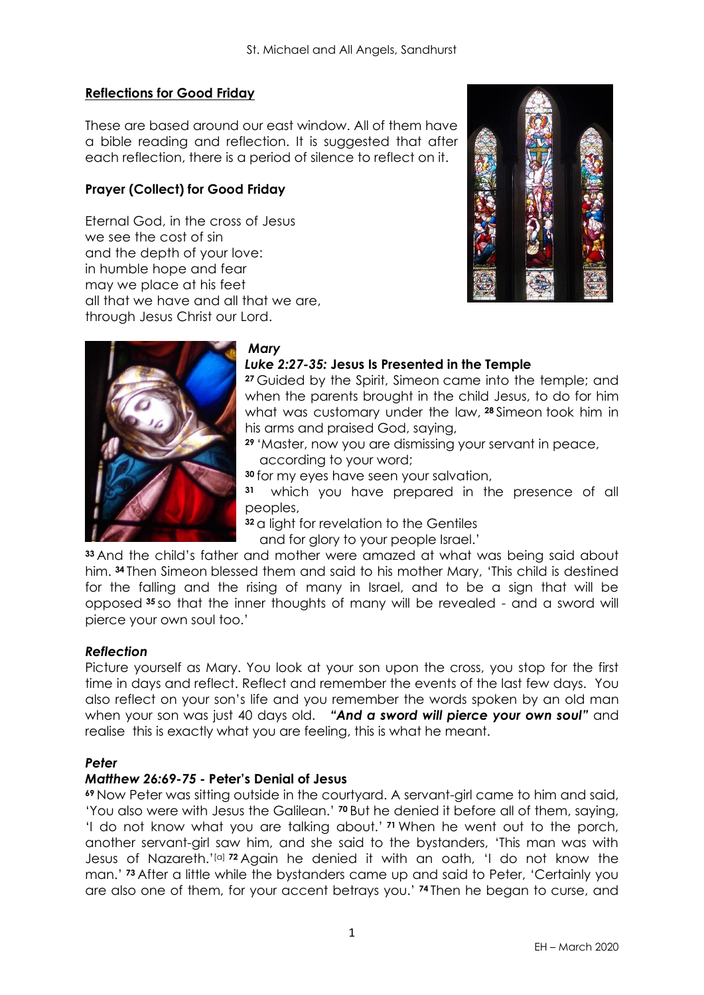## **Reflections for Good Friday**

These are based around our east window. All of them have a bible reading and reflection. It is suggested that after each reflection, there is a period of silence to reflect on it.

# **Prayer (Collect) for Good Friday**

Eternal God, in the cross of Jesus we see the cost of sin and the depth of your love: in humble hope and fear may we place at his feet all that we have and all that we are, through Jesus Christ our Lord.





## *Mary*

# *Luke 2:27-35:* **Jesus Is Presented in the Temple**

**<sup>27</sup>** Guided by the Spirit, Simeon came into the temple; and when the parents brought in the child Jesus, to do for him what was customary under the law, **<sup>28</sup>** Simeon took him in his arms and praised God, saying,

**<sup>29</sup>** 'Master, now you are dismissing your servant in peace, according to your word;

**<sup>30</sup>** for my eyes have seen your salvation,

**31** which you have prepared in the presence of all peoples,

**<sup>32</sup>** a light for revelation to the Gentiles

and for glory to your people Israel.'

**<sup>33</sup>** And the child's father and mother were amazed at what was being said about him. **<sup>34</sup>** Then Simeon blessed them and said to his mother Mary, 'This child is destined for the falling and the rising of many in Israel, and to be a sign that will be opposed **<sup>35</sup>** so that the inner thoughts of many will be revealed - and a sword will pierce your own soul too.'

### *Reflection*

Picture yourself as Mary. You look at your son upon the cross, you stop for the first time in days and reflect. Reflect and remember the events of the last few days. You also reflect on your son's life and you remember the words spoken by an old man when your son was just 40 days old. *"And a sword will pierce your own soul"* and realise this is exactly what you are feeling, this is what he meant.

### *Peter*

## *Matthew 26:69-75 -* **Peter's Denial of Jesus**

**<sup>69</sup>** Now Peter was sitting outside in the courtyard. A servant-girl came to him and said, 'You also were with Jesus the Galilean.' **<sup>70</sup>** But he denied it before all of them, saying, 'I do not know what you are talking about.' **<sup>71</sup>** When he went out to the porch, another servant-girl saw him, and she said to the bystanders, 'This man was with Jesus of Nazareth.'[\[a\]](https://www.biblegateway.com/passage/?search=Matthew+26%3A69-75&version=NRSVA#fen-NRSVA-24123a) **<sup>72</sup>** Again he denied it with an oath, 'I do not know the man.' **<sup>73</sup>** After a little while the bystanders came up and said to Peter, 'Certainly you are also one of them, for your accent betrays you.' **<sup>74</sup>** Then he began to curse, and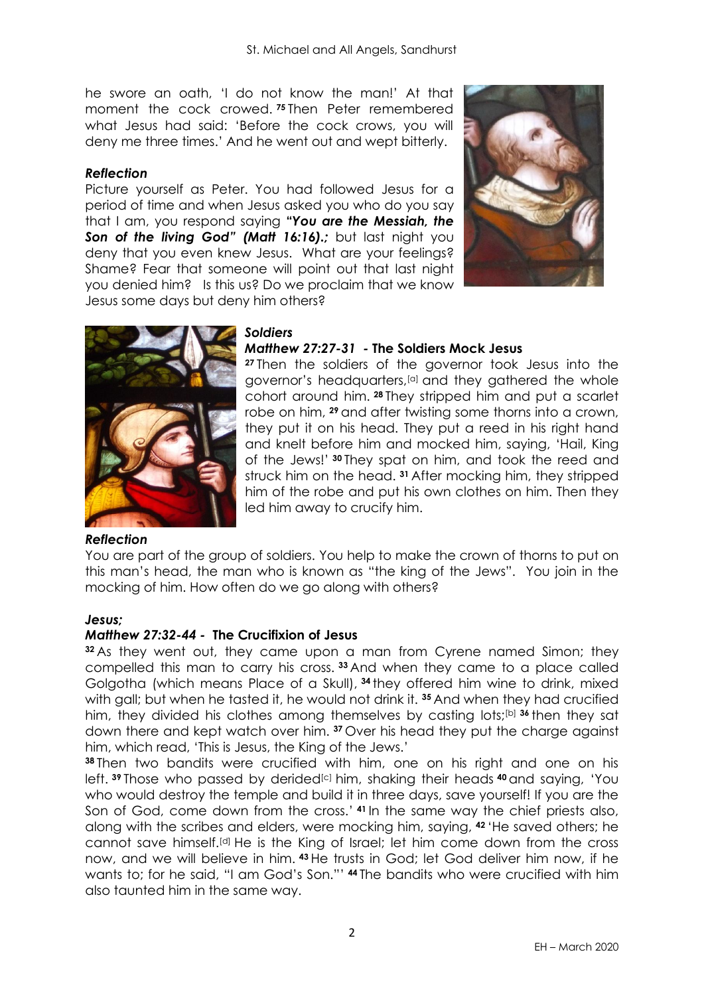he swore an oath, 'I do not know the man!' At that moment the cock crowed. **<sup>75</sup>** Then Peter remembered what Jesus had said: 'Before the cock crows, you will deny me three times.' And he went out and wept bitterly.

### *Reflection*

Picture yourself as Peter. You had followed Jesus for a period of time and when Jesus asked you who do you say that I am, you respond saying **"***You are the Messiah, the Son of the living God" (Matt 16:16).;* but last night you deny that you even knew Jesus. What are your feelings? Shame? Fear that someone will point out that last night you denied him? Is this us? Do we proclaim that we know Jesus some days but deny him others?





# *Soldiers*

# *Matthew 27:27-31 -* **The Soldiers Mock Jesus**

**<sup>27</sup>** Then the soldiers of the governor took Jesus into the governor's headquarters,<sup>[\[a\]](https://www.biblegateway.com/passage/?search=Matthew+27%3A27-31&version=NRSVA#fen-NRSVA-24154a)</sup> and they gathered the whole cohort around him. **<sup>28</sup>** They stripped him and put a scarlet robe on him, **<sup>29</sup>** and after twisting some thorns into a crown, they put it on his head. They put a reed in his right hand and knelt before him and mocked him, saying, 'Hail, King of the Jews!' **<sup>30</sup>** They spat on him, and took the reed and struck him on the head. **<sup>31</sup>** After mocking him, they stripped him of the robe and put his own clothes on him. Then they led him away to crucify him.

### *Reflection*

You are part of the group of soldiers. You help to make the crown of thorns to put on this man's head, the man who is known as "the king of the Jews". You join in the mocking of him. How often do we go along with others?

### *Jesus;*

### *Matthew 27:32-44 -* **The Crucifixion of Jesus**

**<sup>32</sup>** As they went out, they came upon a man from Cyrene named Simon; they compelled this man to carry his cross. **<sup>33</sup>** And when they came to a place called Golgotha (which means Place of a Skull), **<sup>34</sup>** they offered him wine to drink, mixed with gall; but when he tasted it, he would not drink it. **<sup>35</sup>** And when they had crucified him, they divided his clothes among themselves by casting lots;[\[b\]](https://www.biblegateway.com/passage/?search=Matthew+27%3A27-44+&version=NRSVA#fen-NRSVA-24162b) **<sup>36</sup>** then they sat down there and kept watch over him. **<sup>37</sup>** Over his head they put the charge against him, which read, 'This is Jesus, the King of the Jews.'

**<sup>38</sup>** Then two bandits were crucified with him, one on his right and one on his left. <sup>39</sup> Those who passed by derided<sup>[\[c\]](https://www.biblegateway.com/passage/?search=Matthew+27%3A27-44+&version=NRSVA#fen-NRSVA-24166c)</sup> him, shaking their heads <sup>40</sup> and saying, 'You who would destroy the temple and build it in three days, save yourself! If you are the Son of God, come down from the cross.' **<sup>41</sup>** In the same way the chief priests also, along with the scribes and elders, were mocking him, saying, **<sup>42</sup>** 'He saved others; he cannot save himself.[\[d\]](https://www.biblegateway.com/passage/?search=Matthew+27%3A27-44+&version=NRSVA#fen-NRSVA-24169d) He is the King of Israel; let him come down from the cross now, and we will believe in him. **<sup>43</sup>** He trusts in God; let God deliver him now, if he wants to; for he said, "I am God's Son."' **<sup>44</sup>** The bandits who were crucified with him also taunted him in the same way.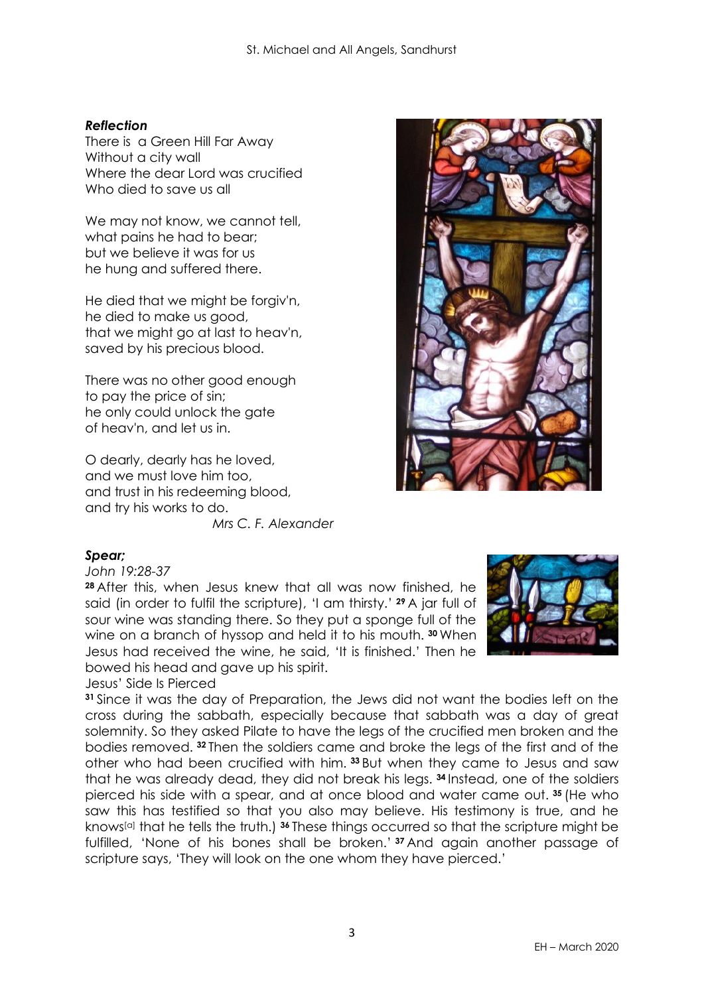## *Reflection*

There is a Green Hill Far Away Without a city wall Where the dear Lord was crucified Who died to save us all

We may not know, we cannot tell, what pains he had to bear; but we believe it was for us he hung and suffered there.

He died that we might be forgiv'n, he died to make us good, that we might go at last to heav'n, saved by his precious blood.

There was no other good enough to pay the price of sin; he only could unlock the gate of heav'n, and let us in.

O dearly, dearly has he loved, and we must love him too, and trust in his redeeming blood, and try his works to do.

*Mrs C. F. Alexander*



# *Spear;*

*John 19:28-37*

**<sup>28</sup>** After this, when Jesus knew that all was now finished, he said (in order to fulfil the scripture), 'I am thirsty.' **<sup>29</sup>** A jar full of sour wine was standing there. So they put a sponge full of the wine on a branch of hyssop and held it to his mouth. **<sup>30</sup>** When Jesus had received the wine, he said, 'It is finished.' Then he bowed his head and gave up his spirit.

Jesus' Side Is Pierced

**<sup>31</sup>** Since it was the day of Preparation, the Jews did not want the bodies left on the cross during the sabbath, especially because that sabbath was a day of great solemnity. So they asked Pilate to have the legs of the crucified men broken and the bodies removed. **<sup>32</sup>** Then the soldiers came and broke the legs of the first and of the other who had been crucified with him. **<sup>33</sup>** But when they came to Jesus and saw that he was already dead, they did not break his legs. **<sup>34</sup>** Instead, one of the soldiers pierced his side with a spear, and at once blood and water came out. **<sup>35</sup>** (He who saw this has testified so that you also may believe. His testimony is true, and he knows[\[a\]](https://www.biblegateway.com/passage/?search=John+19%3A28-37&version=NRSVA#fen-NRSVA-26850a) that he tells the truth.) **<sup>36</sup>** These things occurred so that the scripture might be fulfilled, 'None of his bones shall be broken.' **<sup>37</sup>** And again another passage of scripture says, 'They will look on the one whom they have pierced.'